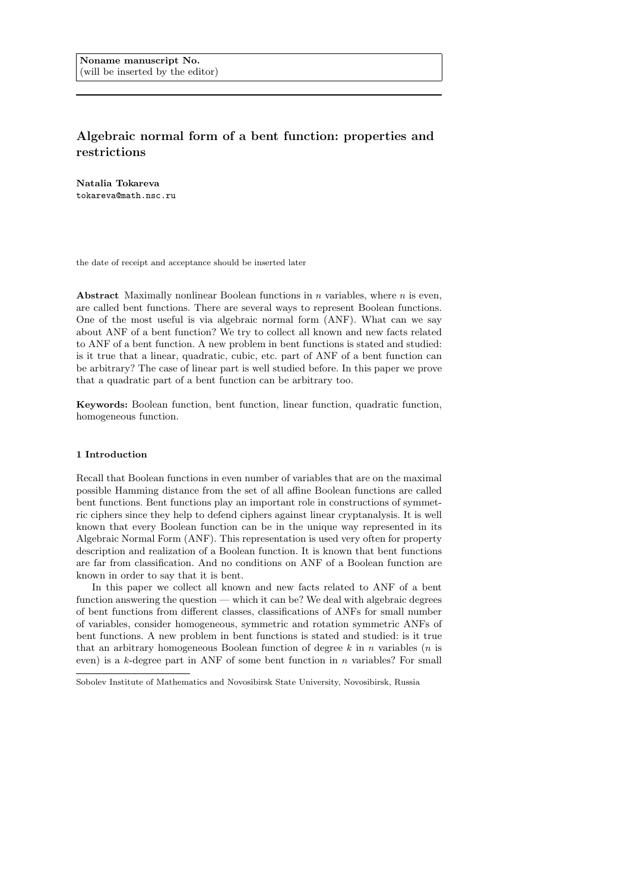# Algebraic normal form of a bent function: properties and restrictions

Natalia Tokareva tokareva@math.nsc.ru

the date of receipt and acceptance should be inserted later

Abstract Maximally nonlinear Boolean functions in  $n$  variables, where  $n$  is even, are called bent functions. There are several ways to represent Boolean functions. One of the most useful is via algebraic normal form (ANF). What can we say about ANF of a bent function? We try to collect all known and new facts related to ANF of a bent function. A new problem in bent functions is stated and studied: is it true that a linear, quadratic, cubic, etc. part of ANF of a bent function can be arbitrary? The case of linear part is well studied before. In this paper we prove that a quadratic part of a bent function can be arbitrary too.

Keywords: Boolean function, bent function, linear function, quadratic function, homogeneous function.

# 1 Introduction

Recall that Boolean functions in even number of variables that are on the maximal possible Hamming distance from the set of all affine Boolean functions are called bent functions. Bent functions play an important role in constructions of symmetric ciphers since they help to defend ciphers against linear cryptanalysis. It is well known that every Boolean function can be in the unique way represented in its Algebraic Normal Form (ANF). This representation is used very often for property description and realization of a Boolean function. It is known that bent functions are far from classification. And no conditions on ANF of a Boolean function are known in order to say that it is bent.

In this paper we collect all known and new facts related to ANF of a bent function answering the question — which it can be? We deal with algebraic degrees of bent functions from different classes, classifications of ANFs for small number of variables, consider homogeneous, symmetric and rotation symmetric ANFs of bent functions. A new problem in bent functions is stated and studied: is it true that an arbitrary homogeneous Boolean function of degree  $k$  in n variables (n is even) is a k-degree part in ANF of some bent function in n variables? For small

Sobolev Institute of Mathematics and Novosibirsk State University, Novosibirsk, Russia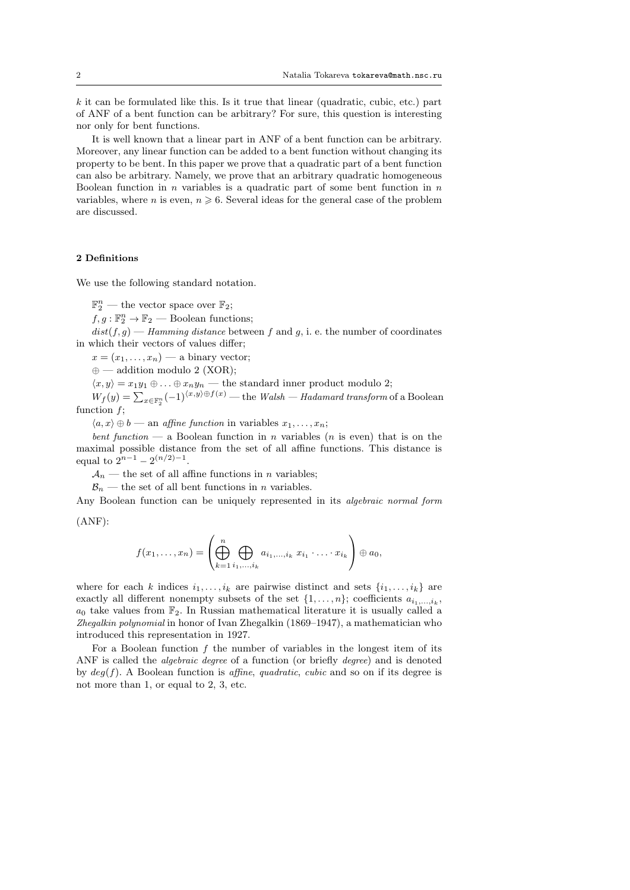$k$  it can be formulated like this. Is it true that linear (quadratic, cubic, etc.) part of ANF of a bent function can be arbitrary? For sure, this question is interesting nor only for bent functions.

It is well known that a linear part in ANF of a bent function can be arbitrary. Moreover, any linear function can be added to a bent function without changing its property to be bent. In this paper we prove that a quadratic part of a bent function can also be arbitrary. Namely, we prove that an arbitrary quadratic homogeneous Boolean function in  $n$  variables is a quadratic part of some bent function in  $n$ variables, where n is even,  $n \geq 6$ . Several ideas for the general case of the problem are discussed.

# 2 Definitions

We use the following standard notation.

 $\mathbb{F}_2^n$  — the vector space over  $\mathbb{F}_2$ ;

 $f, g: \mathbb{F}_2^n \to \mathbb{F}_2$  — Boolean functions;

 $dist(f, g)$  — Hamming distance between f and g, i. e. the number of coordinates in which their vectors of values differ;

 $x = (x_1, \ldots, x_n)$  — a binary vector;

 $\oplus$  — addition modulo 2 (XOR);

 $\langle x, y \rangle = x_1y_1 \oplus \ldots \oplus x_ny_n$  — the standard inner product modulo 2;

 $W_f(y) = \sum_{x \in \mathbb{F}_2^n} (-1)^{\langle x, y \rangle \oplus f(x)}$  — the *Walsh — Hadamard transform* of a Boolean function  $f$ ;

 $\langle a, x \rangle \oplus b$  — an *affine function* in variables  $x_1, \ldots, x_n;$ 

bent function — a Boolean function in n variables (n is even) that is on the maximal possible distance from the set of all affine functions. This distance is equal to  $2^{n-1} - 2^{(n/2)-1}$ .

 $\mathcal{A}_n$  — the set of all affine functions in n variables;

 $\mathcal{B}_n$  — the set of all bent functions in n variables.

Any Boolean function can be uniquely represented in its algebraic normal form

(ANF):

$$
f(x_1,\ldots,x_n)=\left(\bigoplus_{k=1}^n\bigoplus_{i_1,\ldots,i_k}a_{i_1,\ldots,i_k}\;x_{i_1}\cdot\ldots\cdot x_{i_k}\right)\oplus a_0,
$$

where for each k indices  $i_1, \ldots, i_k$  are pairwise distinct and sets  $\{i_1, \ldots, i_k\}$  are exactly all different nonempty subsets of the set  $\{1, \ldots, n\}$ ; coefficients  $a_{i_1,\ldots,i_k}$ ,  $a_0$  take values from  $\mathbb{F}_2$ . In Russian mathematical literature it is usually called a Zhegalkin polynomial in honor of Ivan Zhegalkin (1869–1947), a mathematician who introduced this representation in 1927.

For a Boolean function  $f$  the number of variables in the longest item of its ANF is called the *algebraic degree* of a function (or briefly *degree*) and is denoted by  $deg(f)$ . A Boolean function is affine, quadratic, cubic and so on if its degree is not more than 1, or equal to 2, 3, etc.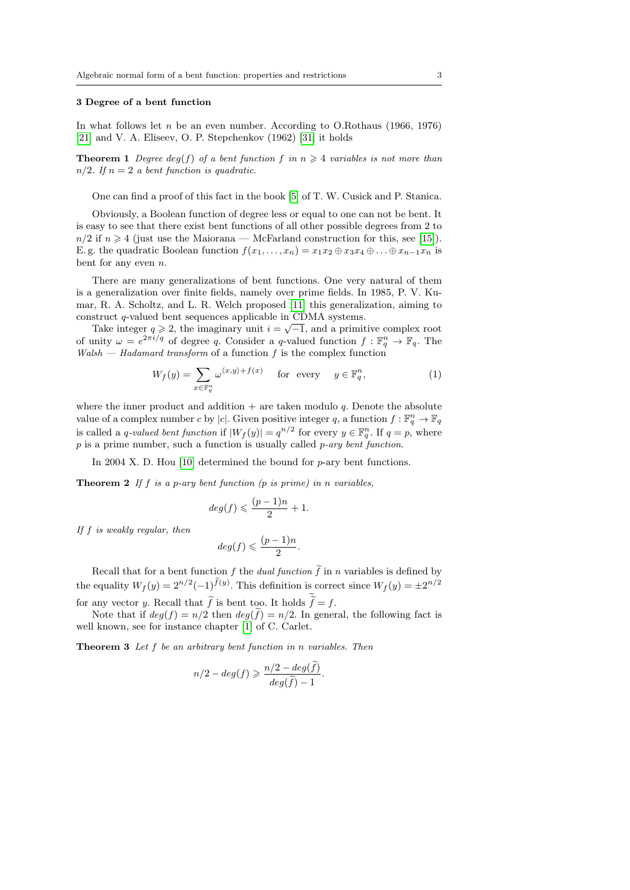#### 3 Degree of a bent function

In what follows let  $n$  be an even number. According to O.Rothaus (1966, 1976) [\[21\]](#page-11-0) and V. A. Eliseev, O. P. Stepchenkov (1962) [\[31\]](#page-11-1) it holds

**Theorem 1** Degree deg(f) of a bent function f in  $n \geq 4$  variables is not more than  $n/2$ . If  $n = 2$  a bent function is quadratic.

One can find a proof of this fact in the book [\[5\]](#page-10-0) of T. W. Cusick and P. Stanica.

Obviously, a Boolean function of degree less or equal to one can not be bent. It is easy to see that there exist bent functions of all other possible degrees from 2 to  $n/2$  if  $n \geq 4$  (just use the Maiorana — McFarland construction for this, see [\[15\]](#page-10-1)). E. g. the quadratic Boolean function  $f(x_1, \ldots, x_n) = x_1x_2 \oplus x_3x_4 \oplus \ldots \oplus x_{n-1}x_n$  is bent for any even n.

There are many generalizations of bent functions. One very natural of them is a generalization over finite fields, namely over prime fields. In 1985, P. V. Kumar, R. A. Scholtz, and L. R. Welch proposed [\[11\]](#page-10-2) this generalization, aiming to construct q-valued bent sequences applicable in CDMA systems.

Take integer  $q \ge 2$ , the imaginary unit  $i = \sqrt{-1}$ , and a primitive complex root of unity  $\omega = e^{2\pi i/q}$  of degree q. Consider a q-valued function  $f : \mathbb{F}_q^n \to \mathbb{F}_q$ . The  $Walsh - Hadamard transform$  of a function f is the complex function

$$
W_f(y) = \sum_{x \in \mathbb{F}_q^n} \omega^{\langle x, y \rangle + f(x)} \quad \text{for every} \quad y \in \mathbb{F}_q^n,\tag{1}
$$

where the inner product and addition  $+$  are taken modulo q. Denote the absolute value of a complex number c by |c|. Given positive integer q, a function  $f: \mathbb{F}_q^n \to \mathbb{F}_q$ is called a q-valued bent function if  $|W_f(y)| = q^{n/2}$  for every  $y \in \mathbb{F}_q^n$ . If  $q = p$ , where  $p$  is a prime number, such a function is usually called  $p$ -ary bent function.

In 2004 X. D. Hou [\[10\]](#page-10-3) determined the bound for  $p$ -ary bent functions.

**Theorem 2** If f is a p-ary bent function  $(p \text{ is prime})$  in n variables,

$$
deg(f) \leqslant \frac{(p-1)n}{2} + 1.
$$

If f is weakly regular, then

$$
deg(f) \leqslant \frac{(p-1)n}{2}.
$$

Recall that for a bent function f the *dual function*  $\tilde{f}$  in n variables is defined by the equality  $W_f(y) = 2^{n/2}(-1)^{f(y)}$ . This definition is correct since  $W_f(y) = \pm 2^{n/2}$ for any vector y. Recall that f is bent too. It holds  $f = f$ .

Note that if  $deg(f) = n/2$  then  $deg(f) = n/2$ . In general, the following fact is well known, see for instance chapter [\[1\]](#page-10-4) of C. Carlet.

**Theorem 3** Let  $f$  be an arbitrary bent function in n variables. Then

$$
n/2 - deg(f) \geqslant \frac{n/2 - deg(f)}{deg(f) - 1}.
$$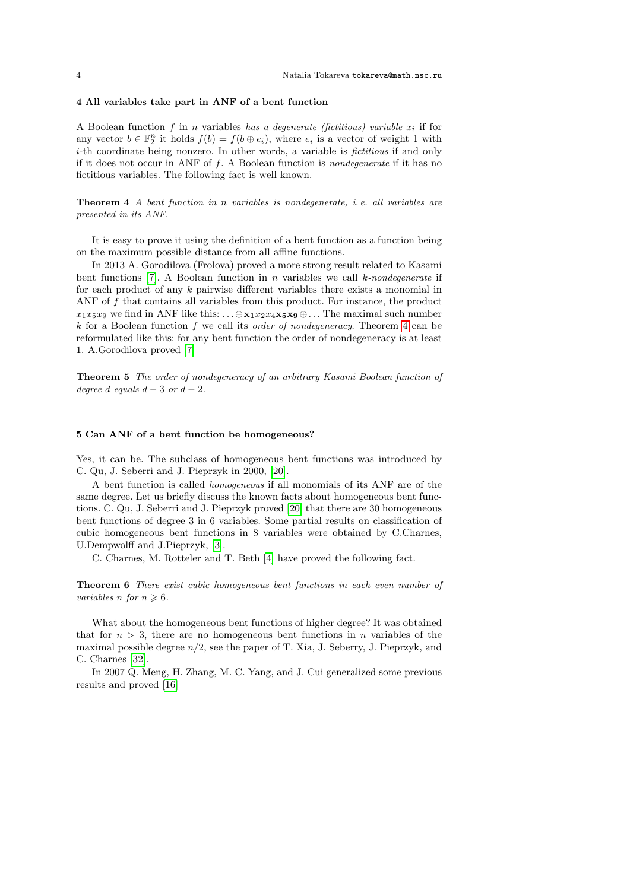#### 4 All variables take part in ANF of a bent function

A Boolean function  $f$  in  $n$  variables has a degenerate (fictitious) variable  $x_i$  if for any vector  $b \in \mathbb{F}_2^n$  it holds  $f(b) = f(b \oplus e_i)$ , where  $e_i$  is a vector of weight 1 with i-th coordinate being nonzero. In other words, a variable is *fictitious* if and only if it does not occur in ANF of f. A Boolean function is nondegenerate if it has no fictitious variables. The following fact is well known.

<span id="page-3-0"></span>Theorem 4 A bent function in n variables is nondegenerate, i. e. all variables are presented in its ANF.

It is easy to prove it using the definition of a bent function as a function being on the maximum possible distance from all affine functions.

In 2013 A. Gorodilova (Frolova) proved a more strong result related to Kasami bent functions [\[7\]](#page-10-5). A Boolean function in n variables we call  $k$ -nondegenerate if for each product of any  $k$  pairwise different variables there exists a monomial in ANF of f that contains all variables from this product. For instance, the product  $x_1x_5x_9$  we find in ANF like this:  $\ldots \oplus x_1x_2x_4x_5x_9 \oplus \ldots$  The maximal such number  $k$  for a Boolean function f we call its *order of nondegeneracy*. Theorem [4](#page-3-0) can be reformulated like this: for any bent function the order of nondegeneracy is at least 1. A.Gorodilova proved [\[7\]](#page-10-5)

Theorem 5 The order of nondegeneracy of an arbitrary Kasami Boolean function of degree d equals  $d-3$  or  $d-2$ .

#### 5 Can ANF of a bent function be homogeneous?

Yes, it can be. The subclass of homogeneous bent functions was introduced by C. Qu, J. Seberri and J. Pieprzyk in 2000, [\[20\]](#page-11-2).

A bent function is called homogeneous if all monomials of its ANF are of the same degree. Let us briefly discuss the known facts about homogeneous bent functions. C. Qu, J. Seberri and J. Pieprzyk proved [\[20\]](#page-11-2) that there are 30 homogeneous bent functions of degree 3 in 6 variables. Some partial results on classification of cubic homogeneous bent functions in 8 variables were obtained by C.Charnes, U.Dempwolff and J.Pieprzyk, [\[3\]](#page-10-6).

C. Charnes, M. Rotteler and T. Beth [\[4\]](#page-10-7) have proved the following fact.

<span id="page-3-1"></span>Theorem 6 There exist cubic homogeneous bent functions in each even number of variables n for  $n \geq 6$ .

What about the homogeneous bent functions of higher degree? It was obtained that for  $n > 3$ , there are no homogeneous bent functions in n variables of the maximal possible degree  $n/2$ , see the paper of T. Xia, J. Seberry, J. Pieprzyk, and C. Charnes [\[32\]](#page-11-3).

In 2007 Q. Meng, H. Zhang, M. C. Yang, and J. Cui generalized some previous results and proved [\[16\]](#page-10-8)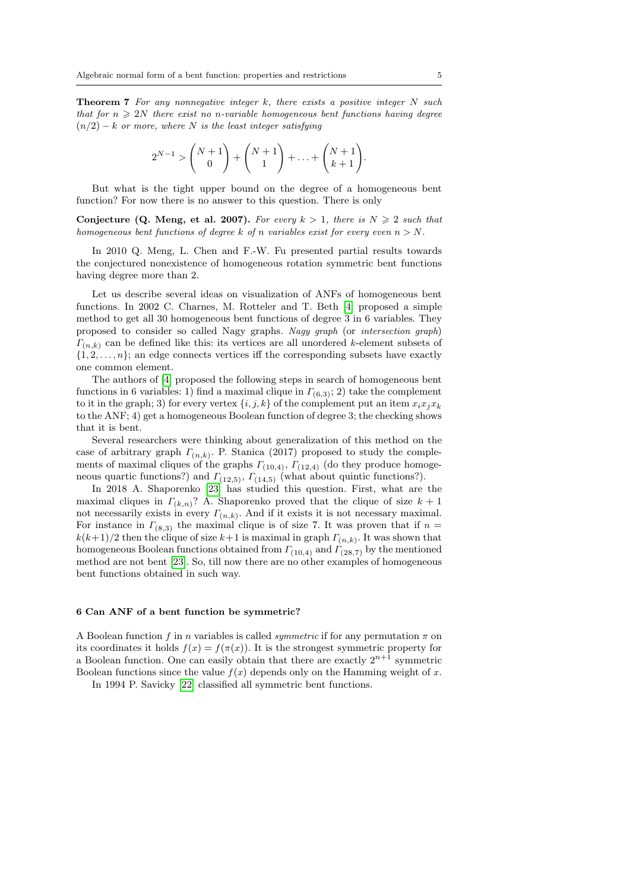**Theorem 7** For any nonnegative integer  $k$ , there exists a positive integer  $N$  such that for  $n \geqslant 2N$  there exist no n-variable homogeneous bent functions having degree  $(n/2) - k$  or more, where N is the least integer satisfying

$$
2^{N-1} > {N+1 \choose 0} + {N+1 \choose 1} + \ldots + {N+1 \choose k+1}.
$$

But what is the tight upper bound on the degree of a homogeneous bent function? For now there is no answer to this question. There is only

Conjecture (Q. Meng, et al. 2007). For every  $k > 1$ , there is  $N \ge 2$  such that homogeneous bent functions of degree k of n variables exist for every even  $n > N$ .

In 2010 Q. Meng, L. Chen and F.-W. Fu presented partial results towards the conjectured nonexistence of homogeneous rotation symmetric bent functions having degree more than 2.

Let us describe several ideas on visualization of ANFs of homogeneous bent functions. In 2002 C. Charnes, M. Rotteler and T. Beth [\[4\]](#page-10-7) proposed a simple method to get all 30 homogeneous bent functions of degree 3 in 6 variables. They proposed to consider so called Nagy graphs. Nagy graph (or intersection graph)  $\Gamma_{(n,k)}$  can be defined like this: its vertices are all unordered k-element subsets of  $\{1, 2, \ldots, n\}$ ; an edge connects vertices iff the corresponding subsets have exactly one common element.

The authors of [\[4\]](#page-10-7) proposed the following steps in search of homogeneous bent functions in 6 variables: 1) find a maximal clique in  $\Gamma_{(6,3)}$ ; 2) take the complement to it in the graph; 3) for every vertex  $\{i, j, k\}$  of the complement put an item  $x_i x_j x_k$ to the ANF; 4) get a homogeneous Boolean function of degree 3; the checking shows that it is bent.

Several researchers were thinking about generalization of this method on the case of arbitrary graph  $\Gamma_{(n,k)}$ . P. Stanica (2017) proposed to study the complements of maximal cliques of the graphs  $\Gamma_{(10,4)}$ ,  $\Gamma_{(12,4)}$  (do they produce homogeneous quartic functions?) and  $\Gamma_{(12,5)}$ ,  $\Gamma_{(14,5)}$  (what about quintic functions?).

In 2018 A. Shaporenko [\[23\]](#page-11-4) has studied this question. First, what are the maximal cliques in  $\Gamma_{(k,n)}$ ? A. Shaporenko proved that the clique of size  $k+1$ not necessarily exists in every  $\Gamma_{(n,k)}$ . And if it exists it is not necessary maximal. For instance in  $\Gamma_{(8,3)}$  the maximal clique is of size 7. It was proven that if  $n =$  $k(k+1)/2$  then the clique of size  $k+1$  is maximal in graph  $\Gamma_{(n,k)}$ . It was shown that homogeneous Boolean functions obtained from  $\Gamma_{(10,4)}$  and  $\Gamma_{(28,7)}$  by the mentioned method are not bent [\[23\]](#page-11-4). So, till now there are no other examples of homogeneous bent functions obtained in such way.

# 6 Can ANF of a bent function be symmetric?

A Boolean function f in n variables is called *symmetric* if for any permutation  $\pi$  on its coordinates it holds  $f(x) = f(\pi(x))$ . It is the strongest symmetric property for a Boolean function. One can easily obtain that there are exactly  $2^{n+1}$  symmetric Boolean functions since the value  $f(x)$  depends only on the Hamming weight of x.

In 1994 P. Savicky [\[22\]](#page-11-5) classified all symmetric bent functions.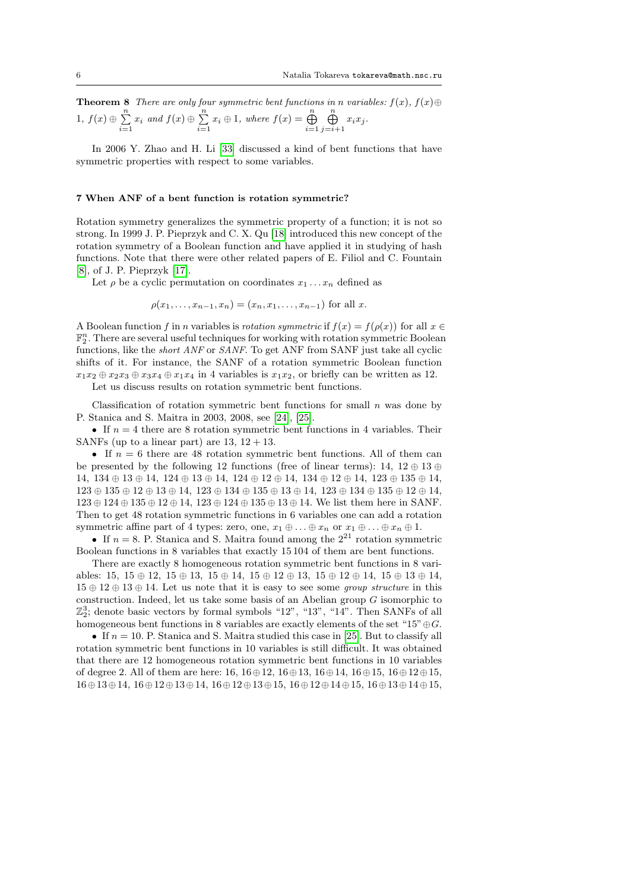**Theorem 8** There are only four symmetric bent functions in n variables:  $f(x)$ ,  $f(x) \oplus$ 1,  $f(x) \oplus \sum^n$  $\sum_{i=1}^{n} x_i$  and  $f(x) \oplus \sum_{i=1}^{n}$  $\sum_{i=1}^{n} x_i \oplus 1$ , where  $f(x) = \bigoplus_{i=1}^{n}$  $\bigoplus^n$  $\bigoplus_{j=i+1} x_i x_j.$ 

In 2006 Y. Zhao and H. Li [\[33\]](#page-11-6) discussed a kind of bent functions that have symmetric properties with respect to some variables.

#### 7 When ANF of a bent function is rotation symmetric?

Rotation symmetry generalizes the symmetric property of a function; it is not so strong. In 1999 J. P. Pieprzyk and C. X. Qu [\[18\]](#page-10-9) introduced this new concept of the rotation symmetry of a Boolean function and have applied it in studying of hash functions. Note that there were other related papers of E. Filiol and C. Fountain [\[8\]](#page-10-10), of J. P. Pieprzyk [\[17\]](#page-10-11).

Let  $\rho$  be a cyclic permutation on coordinates  $x_1 \ldots x_n$  defined as

 $\rho(x_1, \ldots, x_{n-1}, x_n) = (x_n, x_1, \ldots, x_{n-1})$  for all x.

A Boolean function f in n variables is rotation symmetric if  $f(x) = f(\rho(x))$  for all  $x \in$  $\mathbb{F}_2^n$ . There are several useful techniques for working with rotation symmetric Boolean functions, like the short ANF or SANF. To get ANF from SANF just take all cyclic shifts of it. For instance, the SANF of a rotation symmetric Boolean function  $x_1x_2 \oplus x_2x_3 \oplus x_3x_4 \oplus x_1x_4$  in 4 variables is  $x_1x_2$ , or briefly can be written as 12.

Let us discuss results on rotation symmetric bent functions.

Classification of rotation symmetric bent functions for small  $n$  was done by P. Stanica and S. Maitra in 2003, 2008, see [\[24\]](#page-11-7), [\[25\]](#page-11-8).

• If  $n = 4$  there are 8 rotation symmetric bent functions in 4 variables. Their SANFs (up to a linear part) are  $13, 12 + 13$ .

• If  $n = 6$  there are 48 rotation symmetric bent functions. All of them can be presented by the following 12 functions (free of linear terms):  $14$ ,  $12 \oplus 13 \oplus ...$ 14, 134 ⊕ 13 ⊕ 14, 124 ⊕ 13 ⊕ 14, 124 ⊕ 12 ⊕ 14, 134 ⊕ 12 ⊕ 14, 123 ⊕ 135 ⊕ 14,  $123 \oplus 135 \oplus 12 \oplus 13 \oplus 14$ ,  $123 \oplus 134 \oplus 135 \oplus 13 \oplus 134 \oplus 134 \oplus 135 \oplus 12 \oplus 14$ , 123 ⊕ 124 ⊕ 135 ⊕ 12 ⊕ 14, 123 ⊕ 124 ⊕ 135 ⊕ 13 ⊕ 14. We list them here in SANF. Then to get 48 rotation symmetric functions in 6 variables one can add a rotation symmetric affine part of 4 types: zero, one,  $x_1 \oplus \ldots \oplus x_n$  or  $x_1 \oplus \ldots \oplus x_n \oplus 1$ .

• If  $n = 8$ . P. Stanica and S. Maitra found among the  $2^{21}$  rotation symmetric Boolean functions in 8 variables that exactly 15 104 of them are bent functions.

There are exactly 8 homogeneous rotation symmetric bent functions in 8 variables: 15, 15 ⊕ 12, 15 ⊕ 13, 15 ⊕ 14, 15 ⊕ 12 ⊕ 13, 15 ⊕ 12 ⊕ 14, 15 ⊕ 13 ⊕ 14,  $15 \oplus 12 \oplus 13 \oplus 14$ . Let us note that it is easy to see some group structure in this construction. Indeed, let us take some basis of an Abelian group G isomorphic to  $\mathbb{Z}_2^3$ ; denote basic vectors by formal symbols "12", "13", "14". Then SANFs of all homogeneous bent functions in 8 variables are exactly elements of the set "15" $\oplus$ G.

• If  $n = 10$ . P. Stanica and S. Maitra studied this case in [\[25\]](#page-11-8). But to classify all rotation symmetric bent functions in 10 variables is still difficult. It was obtained that there are 12 homogeneous rotation symmetric bent functions in 10 variables of degree 2. All of them are here:  $16, 16 \oplus 12, 16 \oplus 13, 16 \oplus 14, 16 \oplus 15, 16 \oplus 12 \oplus 15,$ 16⊕13⊕14, 16⊕12⊕13⊕14, 16⊕12⊕13⊕15, 16⊕12⊕14⊕15, 16⊕13⊕14⊕15,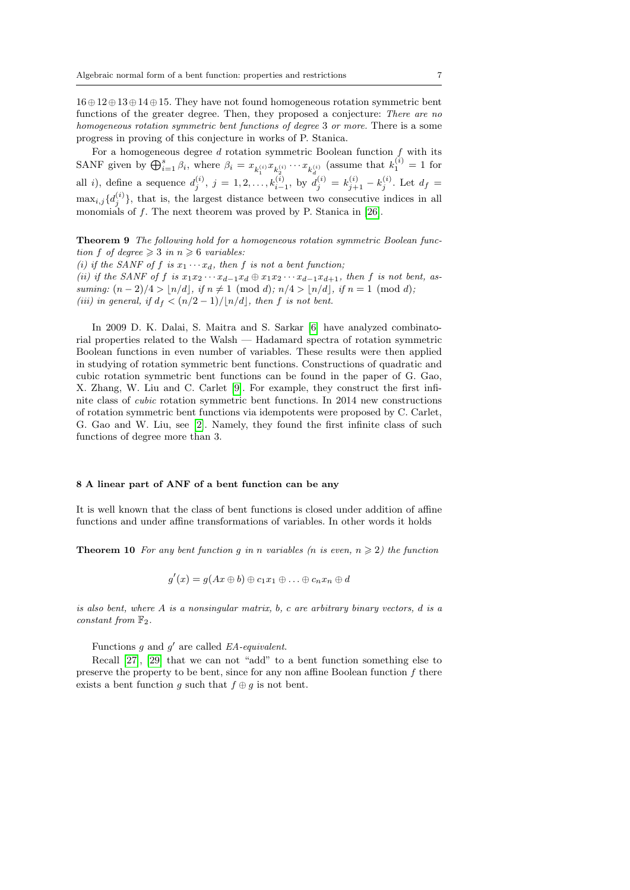16⊕12⊕13⊕14⊕15. They have not found homogeneous rotation symmetric bent functions of the greater degree. Then, they proposed a conjecture: There are no homogeneous rotation symmetric bent functions of degree 3 or more. There is a some progress in proving of this conjecture in works of P. Stanica.

For a homogeneous degree  $d$  rotation symmetric Boolean function  $f$  with its SANF given by  $\bigoplus_{i=1}^s \beta_i$ , where  $\beta_i = x_{k_1^{(i)}} x_{k_2^{(i)}} \cdots x_{k_d^{(i)}}$  (assume that  $k_1^{(i)} = 1$  for all i), define a sequence  $d_j^{(i)}$ ,  $j = 1, 2, ..., k_{i-1}^{(i)}$ , by  $d_j^{(i)} = k_{j+1}^{(i)} - k_j^{(i)}$ . Let  $d_f =$  $\max_{i,j} \{d_j^{(i)}\}$ , that is, the largest distance between two consecutive indices in all monomials of f. The next theorem was proved by P. Stanica in [\[26\]](#page-11-9).

Theorem 9 The following hold for a homogeneous rotation symmetric Boolean function f of degree  $\geq 3$  in  $n \geq 6$  variables:

(i) if the SANF of f is  $x_1 \cdots x_d$ , then f is not a bent function; (ii) if the SANF of f is  $x_1x_2 \cdots x_{d-1}x_d \oplus x_1x_2 \cdots x_{d-1}x_{d+1}$ , then f is not bent, assuming:  $(n-2)/4 > \lfloor n/d \rfloor$ , if  $n \neq 1 \pmod{d}$ ;  $n/4 > \lfloor n/d \rfloor$ , if  $n = 1 \pmod{d}$ ; (iii) in general, if  $d_f < (n/2 - 1)/\lfloor n/d \rfloor$ , then f is not bent.

In 2009 D. K. Dalai, S. Maitra and S. Sarkar [\[6\]](#page-10-12) have analyzed combinatorial properties related to the Walsh — Hadamard spectra of rotation symmetric Boolean functions in even number of variables. These results were then applied in studying of rotation symmetric bent functions. Constructions of quadratic and cubic rotation symmetric bent functions can be found in the paper of G. Gao, X. Zhang, W. Liu and C. Carlet [\[9\]](#page-10-13). For example, they construct the first infinite class of cubic rotation symmetric bent functions. In 2014 new constructions of rotation symmetric bent functions via idempotents were proposed by C. Carlet, G. Gao and W. Liu, see [\[2\]](#page-10-14). Namely, they found the first infinite class of such functions of degree more than 3.

## 8 A linear part of ANF of a bent function can be any

<span id="page-6-0"></span>It is well known that the class of bent functions is closed under addition of affine functions and under affine transformations of variables. In other words it holds

**Theorem 10** For any bent function g in n variables (n is even,  $n \geq 2$ ) the function

$$
g'(x) = g(Ax \oplus b) \oplus c_1x_1 \oplus \ldots \oplus c_nx_n \oplus d
$$

is also bent, where  $A$  is a nonsingular matrix, b, c are arbitrary binary vectors, d is a constant from  $\mathbb{F}_2$ .

Functions g and  $g'$  are called EA-equivalent.

Recall [\[27\]](#page-11-10), [\[29\]](#page-11-11) that we can not "add" to a bent function something else to preserve the property to be bent, since for any non affine Boolean function  $f$  there exists a bent function g such that  $f \oplus g$  is not bent.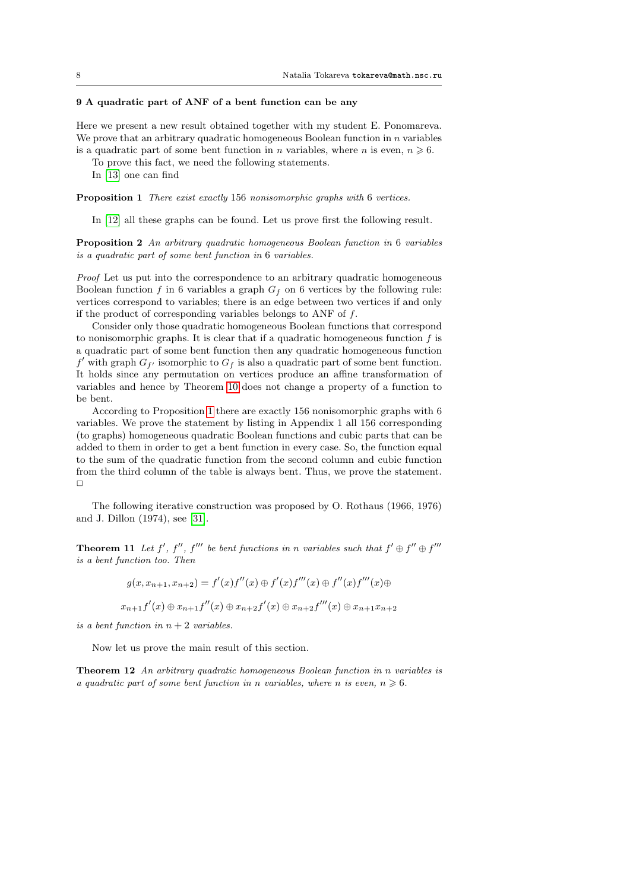#### 9 A quadratic part of ANF of a bent function can be any

Here we present a new result obtained together with my student E. Ponomareva. We prove that an arbitrary quadratic homogeneous Boolean function in  $n$  variables is a quadratic part of some bent function in n variables, where n is even,  $n \geq 6$ .

To prove this fact, we need the following statements.

In [\[13\]](#page-10-15) one can find

<span id="page-7-0"></span>Proposition 1 There exist exactly 156 nonisomorphic graphs with 6 vertices.

In [\[12\]](#page-10-16) all these graphs can be found. Let us prove first the following result.

<span id="page-7-1"></span>Proposition 2 An arbitrary quadratic homogeneous Boolean function in 6 variables is a quadratic part of some bent function in 6 variables.

Proof Let us put into the correspondence to an arbitrary quadratic homogeneous Boolean function f in 6 variables a graph  $G_f$  on 6 vertices by the following rule: vertices correspond to variables; there is an edge between two vertices if and only if the product of corresponding variables belongs to ANF of f.

Consider only those quadratic homogeneous Boolean functions that correspond to nonisomorphic graphs. It is clear that if a quadratic homogeneous function  $f$  is a quadratic part of some bent function then any quadratic homogeneous function  $f'$  with graph  $G_{f'}$  isomorphic to  $G_f$  is also a quadratic part of some bent function. It holds since any permutation on vertices produce an affine transformation of variables and hence by Theorem [10](#page-6-0) does not change a property of a function to be bent.

According to Proposition [1](#page-7-0) there are exactly 156 nonisomorphic graphs with 6 variables. We prove the statement by listing in Appendix 1 all 156 corresponding (to graphs) homogeneous quadratic Boolean functions and cubic parts that can be added to them in order to get a bent function in every case. So, the function equal to the sum of the quadratic function from the second column and cubic function from the third column of the table is always bent. Thus, we prove the statement.  $\Box$ 

The following iterative construction was proposed by O. Rothaus (1966, 1976) and J. Dillon (1974), see [\[31\]](#page-11-1).

<span id="page-7-2"></span>**Theorem 11** Let  $f'$ ,  $f''$ ,  $f'''$  be bent functions in n variables such that  $f' \oplus f'' \oplus f'''$ is a bent function too. Then

$$
g(x, x_{n+1}, x_{n+2}) = f'(x)f''(x) \oplus f'(x)f'''(x) \oplus f''(x)f'''(x) \oplus
$$

$$
x_{n+1}f'(x) \oplus x_{n+1}f''(x) \oplus x_{n+2}f'(x) \oplus x_{n+2}f'''(x) \oplus x_{n+1}x_{n+2}
$$

is a bent function in  $n + 2$  variables.

Now let us prove the main result of this section.

<span id="page-7-3"></span>Theorem 12 An arbitrary quadratic homogeneous Boolean function in n variables is a quadratic part of some bent function in n variables, where n is even,  $n \geq 6$ .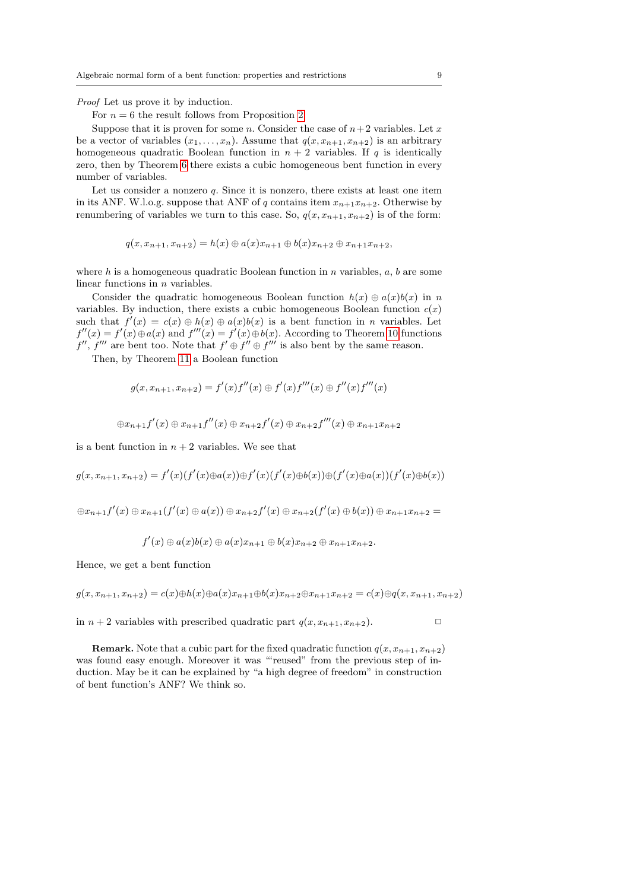Proof Let us prove it by induction.

For  $n = 6$  the result follows from Proposition [2.](#page-7-1)

Suppose that it is proven for some n. Consider the case of  $n+2$  variables. Let x be a vector of variables  $(x_1, \ldots, x_n)$ . Assume that  $q(x, x_{n+1}, x_{n+2})$  is an arbitrary homogeneous quadratic Boolean function in  $n + 2$  variables. If q is identically zero, then by Theorem [6](#page-3-1) there exists a cubic homogeneous bent function in every number of variables.

Let us consider a nonzero  $q$ . Since it is nonzero, there exists at least one item in its ANF. W.l.o.g. suppose that ANF of q contains item  $x_{n+1}x_{n+2}$ . Otherwise by renumbering of variables we turn to this case. So,  $q(x, x_{n+1}, x_{n+2})$  is of the form:

 $q(x, x_{n+1}, x_{n+2}) = h(x) \oplus a(x)x_{n+1} \oplus b(x)x_{n+2} \oplus x_{n+1}x_{n+2}$ 

where h is a homogeneous quadratic Boolean function in n variables,  $a, b$  are some linear functions in n variables.

Consider the quadratic homogeneous Boolean function  $h(x) \oplus a(x)b(x)$  in n variables. By induction, there exists a cubic homogeneous Boolean function  $c(x)$ such that  $f'(x) = c(x) \oplus h(x) \oplus a(x)b(x)$  is a bent function in *n* variables. Let  $f''(x) = f'(x) \oplus a(x)$  and  $f'''(x) = f'(x) \oplus b(x)$ . According to Theorem [10](#page-6-0) functions  $f'', f'''$  are bent too. Note that  $f' \oplus f'' \oplus f'''$  is also bent by the same reason.

Then, by Theorem [11](#page-7-2) a Boolean function

$$
g(x, x_{n+1}, x_{n+2}) = f'(x)f''(x) \oplus f'(x)f'''(x) \oplus f''(x)f'''(x)
$$

$$
\oplus x_{n+1}f'(x) \oplus x_{n+1}f''(x) \oplus x_{n+2}f'(x) \oplus x_{n+2}f'''(x) \oplus x_{n+1}x_{n+2}
$$

is a bent function in  $n + 2$  variables. We see that

 $g(x, x_{n+1}, x_{n+2}) = f'(x)(f'(x) \oplus a(x)) \oplus f'(x)(f'(x) \oplus b(x)) \oplus (f'(x) \oplus a(x))(f'(x) \oplus b(x))$ 

 $\oplus x_{n+1}f'(x) \oplus x_{n+1}(f'(x) \oplus a(x)) \oplus x_{n+2}f'(x) \oplus x_{n+2}(f'(x) \oplus b(x)) \oplus x_{n+1}x_{n+2} =$ 

 $f'(x) \oplus a(x)b(x) \oplus a(x)x_{n+1} \oplus b(x)x_{n+2} \oplus x_{n+1}x_{n+2}.$ 

Hence, we get a bent function

 $g(x, x_{n+1}, x_{n+2}) = c(x) \oplus h(x) \oplus a(x) x_{n+1} \oplus b(x) x_{n+2} \oplus x_{n+1} x_{n+2} = c(x) \oplus q(x, x_{n+1}, x_{n+2})$ 

in  $n + 2$  variables with prescribed quadratic part  $q(x, x_{n+1}, x_{n+2})$ .

**Remark.** Note that a cubic part for the fixed quadratic function  $q(x, x_{n+1}, x_{n+2})$ was found easy enough. Moreover it was "'reused" from the previous step of induction. May be it can be explained by "a high degree of freedom" in construction of bent function's ANF? We think so.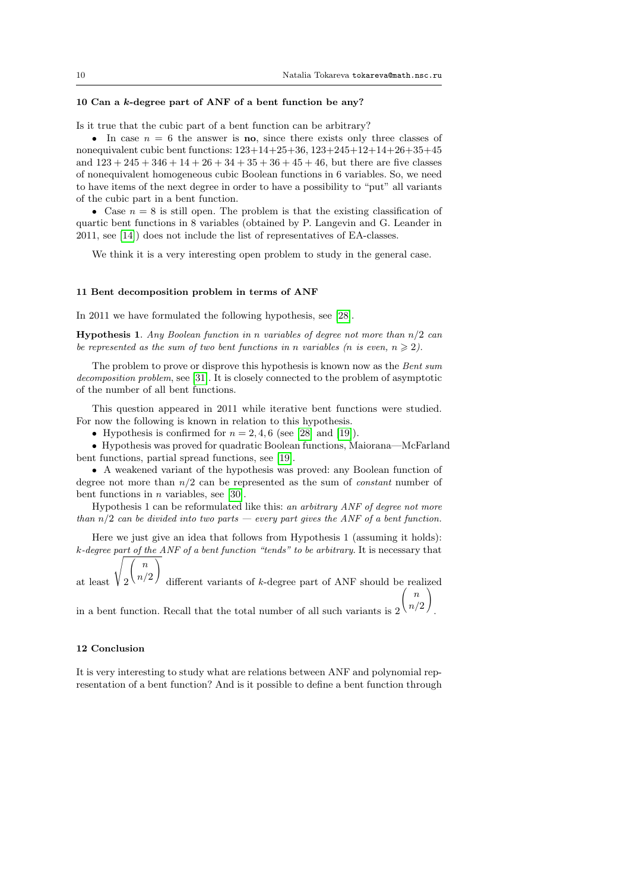.

#### 10 Can a k-degree part of ANF of a bent function be any?

Is it true that the cubic part of a bent function can be arbitrary?

• In case  $n = 6$  the answer is **no**, since there exists only three classes of nonequivalent cubic bent functions: 123+14+25+36, 123+245+12+14+26+35+45 and  $123 + 245 + 346 + 14 + 26 + 34 + 35 + 36 + 45 + 46$ , but there are five classes of nonequivalent homogeneous cubic Boolean functions in 6 variables. So, we need to have items of the next degree in order to have a possibility to "put" all variants of the cubic part in a bent function.

• Case  $n = 8$  is still open. The problem is that the existing classification of quartic bent functions in 8 variables (obtained by P. Langevin and G. Leander in 2011, see [\[14\]](#page-10-17)) does not include the list of representatives of EA-classes.

We think it is a very interesting open problem to study in the general case.

#### 11 Bent decomposition problem in terms of ANF

In 2011 we have formulated the following hypothesis, see [\[28\]](#page-11-12).

**Hypothesis 1.** Any Boolean function in n variables of degree not more than  $n/2$  can be represented as the sum of two bent functions in n variables (n is even,  $n \geq 2$ ).

The problem to prove or disprove this hypothesis is known now as the Bent sum decomposition problem, see [\[31\]](#page-11-1). It is closely connected to the problem of asymptotic of the number of all bent functions.

This question appeared in 2011 while iterative bent functions were studied. For now the following is known in relation to this hypothesis.

• Hypothesis is confirmed for  $n = 2, 4, 6$  (see [\[28\]](#page-11-12) and [\[19\]](#page-11-13)).

• Hypothesis was proved for quadratic Boolean functions, Maiorana—McFarland bent functions, partial spread functions, see [\[19\]](#page-11-13).

• A weakened variant of the hypothesis was proved: any Boolean function of degree not more than  $n/2$  can be represented as the sum of *constant* number of bent functions in *n* variables, see [\[30\]](#page-11-14).

Hypothesis 1 can be reformulated like this: an arbitrary ANF of degree not more than  $n/2$  can be divided into two parts — every part gives the ANF of a bent function.

Here we just give an idea that follows from Hypothesis 1 (assuming it holds): k-degree part of the ANF of a bent function "tends" to be arbitrary. It is necessary that

at least 2  $\sqrt{ }$  $\mathcal{L}$ n  $n/2$  $\setminus$  $\overline{1}$ different variants of k-degree part of ANF should be realized  $\sqrt{2}$ n  $\setminus$ 

in a bent function. Recall that the total number of all such variants is  $2 \binom{n}{2}$ 

#### 12 Conclusion

It is very interesting to study what are relations between ANF and polynomial representation of a bent function? And is it possible to define a bent function through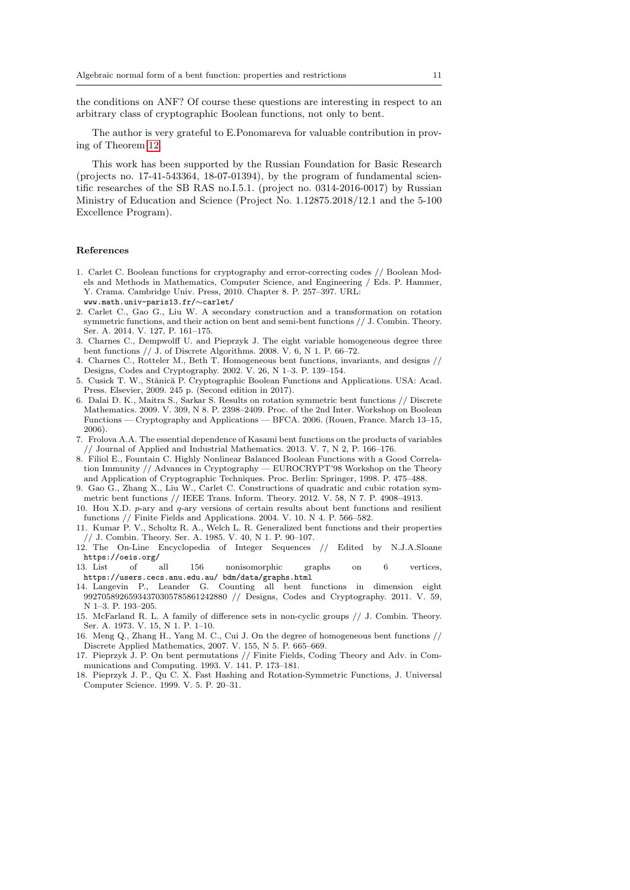the conditions on ANF? Of course these questions are interesting in respect to an arbitrary class of cryptographic Boolean functions, not only to bent.

The author is very grateful to E.Ponomareva for valuable contribution in proving of Theorem [12.](#page-7-3)

This work has been supported by the Russian Foundation for Basic Research (projects no. 17-41-543364, 18-07-01394), by the program of fundamental scientific researches of the SB RAS no.I.5.1. (project no. 0314-2016-0017) by Russian Ministry of Education and Science (Project No. 1.12875.2018/12.1 and the 5-100 Excellence Program).

## References

- <span id="page-10-4"></span>1. Carlet C. Boolean functions for cryptography and error-correcting codes // Boolean Models and Methods in Mathematics, Computer Science, and Engineering / Eds. P. Hammer, Y. Crama. Cambridge Univ. Press, 2010. Chapter 8. P. 257–397. URL:
- www.math.univ-paris13.fr/∼carlet/
- <span id="page-10-14"></span>2. Carlet C., Gao G., Liu W. A secondary construction and a transformation on rotation symmetric functions, and their action on bent and semi-bent functions // J. Combin. Theory. Ser. A. 2014. V. 127, P. 161–175.
- <span id="page-10-6"></span>3. Charnes C., Dempwolff U. and Pieprzyk J. The eight variable homogeneous degree three bent functions // J. of Discrete Algorithms. 2008. V. 6, N 1. P. 66–72.
- <span id="page-10-7"></span>4. Charnes C., Rotteler M., Beth T. Homogeneous bent functions, invariants, and designs // Designs, Codes and Cryptography. 2002. V. 26, N 1–3. P. 139–154.
- <span id="page-10-0"></span>5. Cusick T. W., Stănică P. Cryptographic Boolean Functions and Applications. USA: Acad. Press. Elsevier, 2009. 245 p. (Second edition in 2017).
- <span id="page-10-12"></span>6. Dalai D. K., Maitra S., Sarkar S. Results on rotation symmetric bent functions // Discrete Mathematics. 2009. V. 309, N 8. P. 2398–2409. Proc. of the 2nd Inter. Workshop on Boolean Functions — Cryptography and Applications — BFCA. 2006. (Rouen, France. March 13–15, 2006).
- <span id="page-10-5"></span>7. Frolova A.A. The essential dependence of Kasami bent functions on the products of variables // Journal of Applied and Industrial Mathematics. 2013. V. 7, N 2, P. 166–176.
- <span id="page-10-10"></span>8. Filiol E., Fountain C. Highly Nonlinear Balanced Boolean Functions with a Good Correlation Immunity // Advances in Cryptography — EUROCRYPT'98 Workshop on the Theory and Application of Cryptographic Techniques. Proc. Berlin: Springer, 1998. P. 475–488.
- <span id="page-10-13"></span>9. Gao G., Zhang X., Liu W., Carlet C. Constructions of quadratic and cubic rotation symmetric bent functions // IEEE Trans. Inform. Theory. 2012. V. 58, N 7. P. 4908–4913.
- <span id="page-10-3"></span>10. Hou X.D. p-ary and q-ary versions of certain results about bent functions and resilient functions // Finite Fields and Applications. 2004. V. 10. N 4. P. 566–582.
- <span id="page-10-2"></span>11. Kumar P. V., Scholtz R. A., Welch L. R. Generalized bent functions and their properties // J. Combin. Theory. Ser. A. 1985. V. 40, N 1. P. 90–107.
- <span id="page-10-16"></span>12. The On-Line Encyclopedia of Integer Sequences // Edited by N.J.A.Sloane https://oeis.org/<br>3 List of all
- <span id="page-10-15"></span>13. List of all 156 nonisomorphic graphs on 6 vertices, https://users.cecs.anu.edu.au/ bdm/data/graphs.html
- <span id="page-10-17"></span>14. Langevin P., Leander G. Counting all bent functions in dimension eight 99270589265934370305785861242880 // Designs, Codes and Cryptography. 2011. V. 59, N 1–3. P. 193–205.
- <span id="page-10-1"></span>15. McFarland R. L. A family of difference sets in non-cyclic groups // J. Combin. Theory. Ser. A. 1973. V. 15, N 1. P. 1–10.
- <span id="page-10-8"></span>16. Meng Q., Zhang H., Yang M. C., Cui J. On the degree of homogeneous bent functions // Discrete Applied Mathematics, 2007. V. 155, N 5. P. 665–669.
- <span id="page-10-11"></span>17. Pieprzyk J. P. On bent permutations // Finite Fields, Coding Theory and Adv. in Communications and Computing. 1993. V. 141. P. 173–181.
- <span id="page-10-9"></span>18. Pieprzyk J. P., Qu C. X. Fast Hashing and Rotation-Symmetric Functions, J. Universal Computer Science. 1999. V. 5. P. 20–31.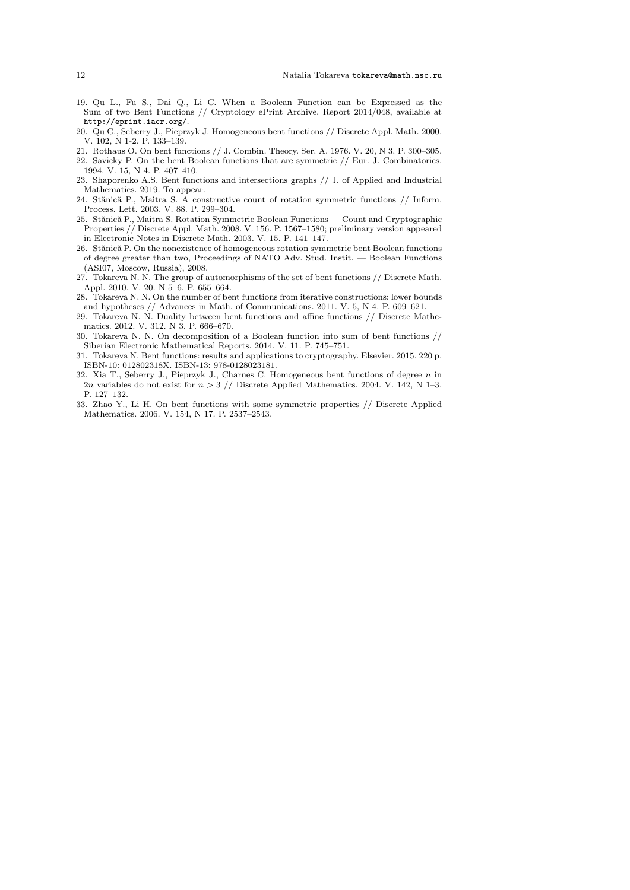- <span id="page-11-13"></span>19. Qu L., Fu S., Dai Q., Li C. When a Boolean Function can be Expressed as the Sum of two Bent Functions // Cryptology ePrint Archive, Report 2014/048, available at http://eprint.iacr.org/.
- <span id="page-11-2"></span>20. Qu C., Seberry J., Pieprzyk J. Homogeneous bent functions // Discrete Appl. Math. 2000. V. 102, N 1-2. P. 133–139.
- <span id="page-11-0"></span>21. Rothaus O. On bent functions // J. Combin. Theory. Ser. A. 1976. V. 20, N 3. P. 300–305.
- <span id="page-11-5"></span>22. Savicky P. On the bent Boolean functions that are symmetric // Eur. J. Combinatorics.
- <span id="page-11-4"></span>1994. V. 15, N 4. P. 407–410. 23. Shaporenko A.S. Bent functions and intersections graphs // J. of Applied and Industrial Mathematics. 2019. To appear.
- <span id="page-11-7"></span>24. Stănică P., Maitra S. A constructive count of rotation symmetric functions // Inform. Process. Lett. 2003. V. 88. P. 299–304.
- <span id="page-11-8"></span>25. Stănică P., Maitra S. Rotation Symmetric Boolean Functions — Count and Cryptographic Properties // Discrete Appl. Math. 2008. V. 156. P. 1567–1580; preliminary version appeared in Electronic Notes in Discrete Math. 2003. V. 15. P. 141–147.
- <span id="page-11-9"></span>26. Stănică P. On the nonexistence of homogeneous rotation symmetric bent Boolean functions of degree greater than two, Proceedings of NATO Adv. Stud. Instit. — Boolean Functions (ASI07, Moscow, Russia), 2008.
- <span id="page-11-10"></span>27. Tokareva N. N. The group of automorphisms of the set of bent functions // Discrete Math. Appl. 2010. V. 20. N 5–6. P. 655–664.
- <span id="page-11-12"></span>28. Tokareva N. N. On the number of bent functions from iterative constructions: lower bounds and hypotheses // Advances in Math. of Communications. 2011. V. 5, N 4. P. 609–621.
- <span id="page-11-11"></span>29. Tokareva N. N. Duality between bent functions and affine functions // Discrete Mathematics. 2012. V. 312. N 3. P. 666–670.
- <span id="page-11-14"></span>30. Tokareva N. N. On decomposition of a Boolean function into sum of bent functions // Siberian Electronic Mathematical Reports. 2014. V. 11. P. 745–751.
- <span id="page-11-1"></span>31. Tokareva N. Bent functions: results and applications to cryptography. Elsevier. 2015. 220 p. ISBN-10: 012802318X. ISBN-13: 978-0128023181.
- <span id="page-11-3"></span>32. Xia T., Seberry J., Pieprzyk J., Charnes C. Homogeneous bent functions of degree n in 2n variables do not exist for  $n > 3$  // Discrete Applied Mathematics. 2004. V. 142, N 1-3. P. 127–132.
- <span id="page-11-6"></span>33. Zhao Y., Li H. On bent functions with some symmetric properties // Discrete Applied Mathematics. 2006. V. 154, N 17. P. 2537–2543.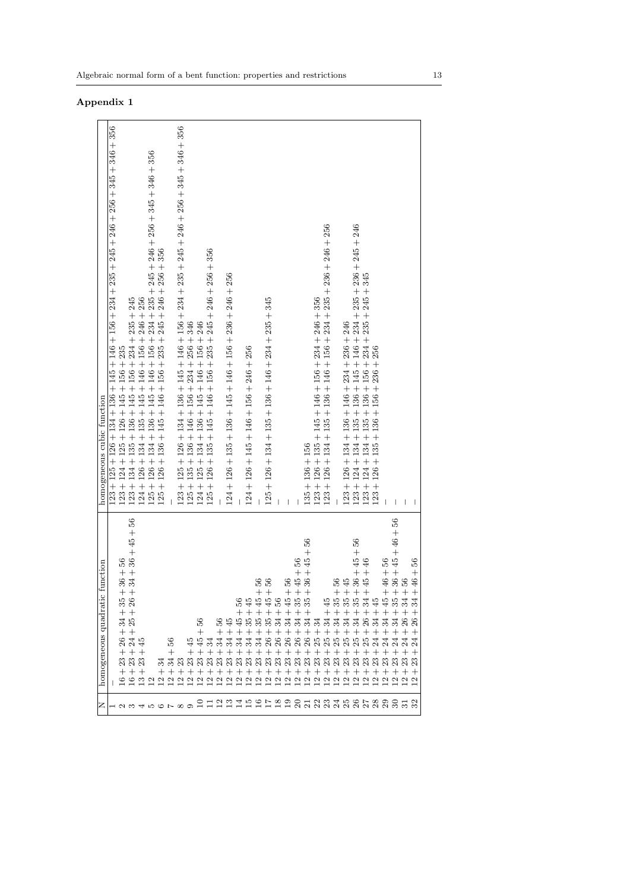|                                        | nction<br>₽,<br>homogeneous quadratic                                                                                                              | homogeneous cubic function                                                                                                                |
|----------------------------------------|----------------------------------------------------------------------------------------------------------------------------------------------------|-------------------------------------------------------------------------------------------------------------------------------------------|
|                                        |                                                                                                                                                    | $123 + 125 + 126 + 134 + 136 + 145 + 146 + 156 + 234 + 235 + 245 + 246 + 256 + 345 + 346 + 356$                                           |
|                                        | 35                                                                                                                                                 | $123 + 124 + 125 + 126 + 145 + 156 + 235$                                                                                                 |
|                                        | $36 + 56$<br>$34 + 36 + 45 + 56$<br>$++$<br>26<br>$++$<br>$3\frac{4}{25}$<br>$++$<br>24<br>24<br>45<br>$++$ + $+$<br>3<br>2<br>2<br>2<br>2<br>$++$ |                                                                                                                                           |
|                                        |                                                                                                                                                    |                                                                                                                                           |
|                                        |                                                                                                                                                    | $123+134+135+136+145+156+234+235+245$ $124+126+134+135+145+146+156+246+256$ $125+126+134+135+145+146+156+234+235+245+246+256+345+346+356$ |
|                                        |                                                                                                                                                    | $125 + 126 + 136 + 145 + 146 + 156 + 235 + 245 + 246 + 256 + 356$                                                                         |
|                                        | 56<br>$^{+}$                                                                                                                                       |                                                                                                                                           |
|                                        |                                                                                                                                                    | $123 + 125 + 126 + 134 + 136 + 145 + 146 + 156 + 234 + 235 + 245 + 246 + 256 + 345 + 346 + 356$                                           |
|                                        | IJ                                                                                                                                                 | $\begin{array}{l} 125 + 135 + 136 + 146 + 156 + 234 + 256 + 346 \\ 124 + 125 + 134 + 136 + 145 + 145 + 146 + 156 + 246 \end{array}$       |
|                                        | 36<br>$^+$<br>$++$ $+$                                                                                                                             |                                                                                                                                           |
|                                        |                                                                                                                                                    | $125 + 126 + 135 + 145 + 146 + 156 + 235 + 245 + 246 + 256 + 356$                                                                         |
|                                        | $^{+}$                                                                                                                                             |                                                                                                                                           |
|                                        | 595<br>$++$                                                                                                                                        | $124 + 126 + 135 + 136 + 145 + 146 + 156 + 236 + 246 + 256$                                                                               |
|                                        | 36                                                                                                                                                 |                                                                                                                                           |
|                                        | + + + + + + + +<br>5553                                                                                                                            | $124 + 126 + 145 + 146 + 156 + 246 + 256$                                                                                                 |
|                                        | 8g<br>9g                                                                                                                                           |                                                                                                                                           |
|                                        | $++$<br>55565555555<br>$+ + +$                                                                                                                     | $125 + 126 + 134 + 135 + 136 + 146 + 234 + 235 + 345$                                                                                     |
|                                        |                                                                                                                                                    |                                                                                                                                           |
|                                        | $^{+}$                                                                                                                                             |                                                                                                                                           |
|                                        |                                                                                                                                                    |                                                                                                                                           |
|                                        | $-56$<br>$-45 + 56$<br>$-36 + 45 + 56$<br>$++$ $+$<br>ಸೆ ಸೆ ಸೆ ಸೆ<br>$+ +$                                                                         | $135 + 136 + 156$                                                                                                                         |
|                                        | $^{+}$                                                                                                                                             | $123 + 126 + 135 + 145 + 146 + 156 + 234 + 246 + 356$                                                                                     |
| Ⅳ│1234567890Ⅱ234567800123222222239120│ | 45<br>$\frac{4}{3}$ $\frac{4}{3}$<br>+ + + + + + + + + + + + + + + + +<br>$^{+}$<br>99999999999999999999999999999999999                            | $126 + 134 + 135 + 136 + 146 + 156 + 234 + 235 + 236 + 246 + 256$<br>$123 +$                                                              |
|                                        | 35<br>$^{+}$                                                                                                                                       |                                                                                                                                           |
|                                        | 35 <sub>5</sub><br>ಸ<br>$^{+}$                                                                                                                     |                                                                                                                                           |
|                                        | $-56$<br>$-45$<br>$-36 + 45 + 56$<br>$-45 + 46$<br>$+ + + +$<br>್ಲಿ<br>$^{+}$                                                                      | $123 + 126 + 134 + 136 + 146 + 234 + 236 + 246$<br>$123 + 124 + 134 + 135 + 136 + 145 + 146 + 234 + 235 + 236 + 245 + 246$                |
|                                        | 34<br>$26 \frac{1}{2}$<br>$^{+}$                                                                                                                   | $123 + 124 + 134 + 135 + 136 + 156 + 234 + 235 + 245 + 345 + 345$<br>$123 + 126 + 135 + 136 + 156 + 236 + 256$                            |
|                                        | $^{+}$                                                                                                                                             |                                                                                                                                           |
|                                        | 45<br>24<br>$^{+}$                                                                                                                                 |                                                                                                                                           |
|                                        | $-46 + 56$<br>$-36 + 45 + 46 + 56$<br>$-56$<br>$-46 + 56$<br>$++++$<br>35<br>+ + + + + + + + + +<br>$\approx$<br>$++$<br>$^{+}$                    |                                                                                                                                           |
|                                        | $3\frac{4}{3}$<br>$\frac{8}{26}$<br>$^{+}$                                                                                                         |                                                                                                                                           |
|                                        | $^{+}$                                                                                                                                             |                                                                                                                                           |

Appendix 1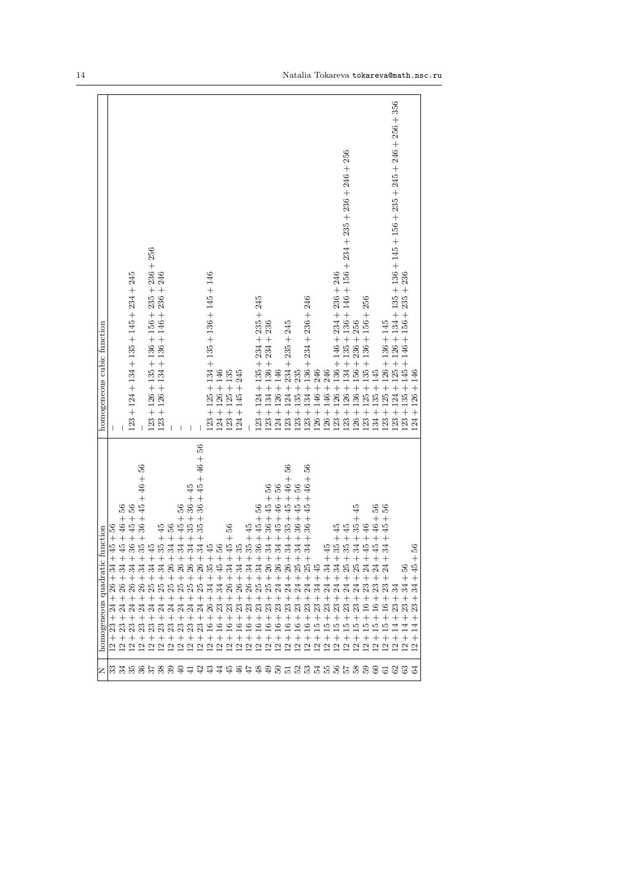| z                     | c function<br>homogeneous quadrat                                                                                                                     | homogeneous cubic function                                                          |
|-----------------------|-------------------------------------------------------------------------------------------------------------------------------------------------------|-------------------------------------------------------------------------------------|
| ြို့                  | $\frac{94 + 45 + 1}{56}$<br>$\mathbb{E}$<br>$^{+}$<br>26<br>$^{+}$<br>24<br>23<br>$^{+}$<br>2                                                         |                                                                                     |
|                       | 36<br>$+45+46+$<br>$\mathbb{R}$<br>$^{+}$<br>26<br>$^{+}$<br>$_{24}$<br>$^{+}$                                                                        |                                                                                     |
|                       | $+36 + 45 + 56$<br>$\mathbb{Z}$<br>$^{+}$<br>$26\,$<br>$^{+}$<br>$\overline{24}$<br>$^+$<br>$\mathbf{\Omega}$                                         | $123 + 124 + 134 + 135 + 145 + 234 + 245$                                           |
|                       | 56<br>$+35 + 36 + 45 + 46 +$<br>$\mathbb{Z}$<br>26<br>$^{+}$                                                                                          |                                                                                     |
|                       | $+45$<br>నె<br>$^{+}$<br>$^{+}$                                                                                                                       | 256<br>$123 + 126 + 135 + 136 + 156 + 235 + 236 +$                                  |
|                       | $35 + 45$<br>$^{+}$<br>$\mathfrak{F}$<br>$^{+}$<br>$^{+}$<br>꿃<br>$^{+}$                                                                              | $123 + 126 + 134 + 136 + 146 + 236 + 246$                                           |
|                       | $+34+56$<br>$26\,$<br>$^{+}$<br>$^{+}$<br>Z                                                                                                           |                                                                                     |
|                       | 36<br>$+34+45+$<br>26<br>$\hspace{0.1mm} +$<br>$^{+}$<br>2                                                                                            |                                                                                     |
|                       | $34 + 35 + 36 + 45$<br>$^{+}$<br>$^+$                                                                                                                 |                                                                                     |
|                       | $34 + 35 + 36 + 45 + 46 + 56$<br>$^{+}$<br>$\frac{8}{36}$<br>$^{+}$<br>25<br>$^{+}$<br>$^{+}$                                                         |                                                                                     |
|                       | $+45$<br>35<br>$\overline{34}$<br>$^{+}$<br>26<br>≌<br>$^{+}$<br>S.                                                                                   | $123 + 125 + 134 + 135 + 136 + 145 + 146$                                           |
|                       | $+56$<br>$+ +$<br>$36 +$<br>$^{+}$<br>23<br>$^{+}$<br>≌<br>$^{+}$<br>$\overline{\omega}$                                                              | $124 + 126 + 146$                                                                   |
|                       | 56<br>$+45+$<br>$\frac{15}{9}$ ភី ភី ភី ភី<br>$^{+}$<br>23<br>$^{+}$<br>$\frac{6}{1}$<br>$^{+}$<br>$\tilde{c}$                                        | $123 + 125 + 135$                                                                   |
|                       | $+35$<br>$^{+}$<br>$26\,$<br>$^{+}$<br>$\mathbb{S}^2$<br>$^{+}$<br>$\frac{6}{1}$<br>$^{+}$<br>$\frac{2}{1}$                                           | 245<br>$124 + 145 +$                                                                |
|                       | $+35+45$<br>$^{+}$<br>$26\,$<br>$^{+}$<br>23<br>$^{+}$<br>$\stackrel{\circ}{=}$<br>$^{+}$<br>≌                                                        |                                                                                     |
|                       | 56<br>$36 + 45 +$<br>$^{+}$<br>$\frac{1}{\sqrt{2}}$<br>25<br>$^{+}$<br>23<br>$^{+}$<br>$\stackrel{\circ}{=}$<br>$^{+}$<br>ن<br>آ                      | $123 + 124 + 135 + 234 + 235 + 245$                                                 |
|                       | S6<br>$+34 + 36 + 45 +$<br>$^{+}$<br>25<br>$^{+}$<br>$\mathbb{S}^2$<br>$^{+}$<br>≌<br>$^{+}$<br>ن<br>آ                                                | $123 + 134 + 136 + 234 + 236$                                                       |
|                       | 56<br>$34 + 45 + 46 +$<br>$^{+}$<br><b>222234332</b><br>$^{+}$<br>24<br>$^{+}$<br>$\mathbb{S}^2$<br>$^{+}$<br>≌<br>$^{+}$<br>$\overline{\mathcal{C}}$ | $124 + 126 + 146$                                                                   |
|                       | 86<br>$34 + 35 + 45 + 46 +$<br>$^{+}$<br>$^{+}$<br>24<br>$^{+}$<br>$\mathbb{S}^2$<br>≌<br>$^{+}$<br>5                                                 | $123 + 124 + 234 + 235 + 245$                                                       |
|                       | 36<br>$34 + 36 + 45 +$<br>$^{+}$<br>$^{+}$<br>24<br>$^{+}$<br>23<br>$^{+}$                                                                            | $123 + 135 + 235$                                                                   |
|                       | 56<br>$34 + 36 + 45 + 46 +$<br>$^{+}$<br>$^+$<br>24<br>$^{+}$<br>ಔ<br>≌<br>$^{+}$<br>N                                                                | $123 + 134 + 136 + 234 + 236 + 246$                                                 |
|                       | $^{+}$<br>34<br>≌<br>$^{+}$<br>L,                                                                                                                     | $126 + 146 + 246$                                                                   |
|                       | $+45$<br>$^{+}$<br>24<br>$^{+}$<br>23<br>≌<br>$^{+}$<br>$\overline{\mathcal{C}}$                                                                      | $126 + 146 + 246$                                                                   |
|                       | $+35+45$<br>$^{+}$<br>$^+$<br>≌<br>$^{+}$<br>S.                                                                                                       | $123 + 126 + 136 + 146 + 234 + 236 + 246$                                           |
|                       | $+35 + 45$<br>$^{+}$<br>23<br>≌<br>$^{+}$<br>N                                                                                                        | $123 + 126 + 134 + 135 + 136 + 146 + 156 + 234 + 235 + 236 + 246 + 256$             |
|                       | 45<br>$34 + 35 +$<br>$^{+}$<br>$^{+}$<br>$\mathbb{S}^2$<br>≌<br>$^{+}$<br>N                                                                           | $126 + 136 + 156 + 236 + 256$                                                       |
|                       | $45 + 46$<br>$^{+}$<br>$^{+}$<br>$^{+}$<br>≌<br>$^{+}$<br>N                                                                                           | $+136 + 156 + 256$<br>$123 + 125 + 135$                                             |
|                       | 56<br>$+45 +46 +$<br>5333<br>$^{+}$<br>$^{+}$<br>$^{\circ}$<br>$^{+}$<br>$^{+}$<br>N                                                                  | $134 + 135 + 145$                                                                   |
| 444445535355555666666 | 36<br>$34 + 45 +$<br>$^{+}$<br>$^+$<br>$^{+}$<br>≌<br>$^{+}$<br>$^{+}$                                                                                | $-23 + 125 + 126 + 136 + 145$                                                       |
|                       | $^{+}$<br>23<br>$^{+}$                                                                                                                                | $123 + 124 + 125 + 126 + 134 + 135 + 136 + 145 + 156 + 235 + 245 + 246 + 256 + 356$ |
|                       | ň<br>$\hspace{0.1mm} +$<br>34<br>$+ +$<br>$\mathbb{S}^2$<br>⋣<br>$+ +$<br>U U                                                                         | $123 + 135 + 145 + 146 + 156 + 235 + 236$                                           |
|                       | $+56$<br>$\ddot{4}$<br>$^{+}$<br>$\mathfrak{B}$<br>$^{+}$<br>⋣                                                                                        | $+146$<br>126<br>$^{+}$<br>24                                                       |
|                       |                                                                                                                                                       |                                                                                     |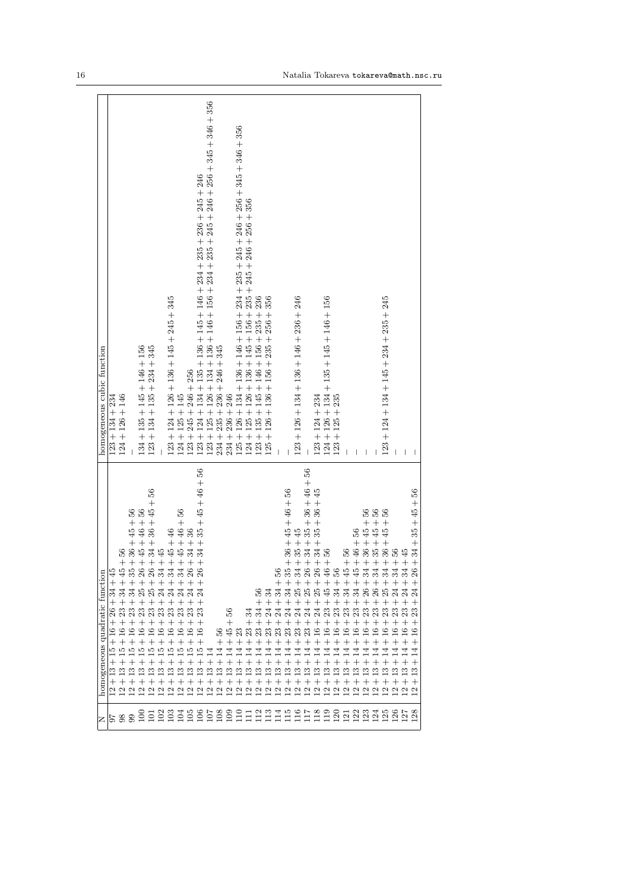| Z                 | homogeneous quadratic function                                                                                                                                                           | homogeneous cubic function                                                                                                                                                                                                                       |
|-------------------|------------------------------------------------------------------------------------------------------------------------------------------------------------------------------------------|--------------------------------------------------------------------------------------------------------------------------------------------------------------------------------------------------------------------------------------------------|
|                   | $^{+}$<br>26<br>$\hspace{0.1mm} +$<br>७<br>$^{+}$<br>ŗ.<br>≌<br>S                                                                                                                        | $123 + 134 + 234$                                                                                                                                                                                                                                |
| $\frac{8}{3}$     | 56<br>$^{+}$<br>23<br>Ņ.                                                                                                                                                                 | $124 + 126 + 146$                                                                                                                                                                                                                                |
|                   | 33<br>23                                                                                                                                                                                 |                                                                                                                                                                                                                                                  |
|                   | $+36 + 45 + 56$<br>$+ 45 + 46 + 56$<br>$26\,$<br>23<br>$^+$                                                                                                                              | $134 + 135 + 145 + 146 + 156$                                                                                                                                                                                                                    |
|                   | 56<br>$34 + 36 + 45 +$<br>$\! + \!$<br>8777<br>23<br>$^+$<br>$^{+}$                                                                                                                      | $123 + 134 + 135 + 234 + 345$                                                                                                                                                                                                                    |
|                   | $+45$<br>23                                                                                                                                                                              |                                                                                                                                                                                                                                                  |
|                   | $^{23}$                                                                                                                                                                                  | $123 + 124 + 126 + 136 + 145 + 245 + 345$                                                                                                                                                                                                        |
|                   | 23<br>rö                                                                                                                                                                                 | $124 + 125 + 145$                                                                                                                                                                                                                                |
|                   | $\begin{array}{l}4+45+46\\4+45+46+56\\3+34+36\end{array}$<br>$\tilde{\mathcal{Q}}$<br>$\overline{5}$<br>$\mathbf{C}$<br>ų                                                                | $245 + 246 + 256$<br>$123 + 1$                                                                                                                                                                                                                   |
|                   | $34 + 35 + 45 + 46 + 56$<br>$^{+}$<br>$^{+}$<br>23<br>$^{+}$<br>٩<br>$^{+}$<br>$\overline{5}$<br>$^{+}$<br>$\frac{3}{1}$<br>$^{+}$<br>$\overline{c}$                                     |                                                                                                                                                                                                                                                  |
|                   | $^{+}$<br>$\frac{3}{2}$                                                                                                                                                                  | $126 + 134 + 136 + 146 + 156 + 234 + 235 + 245 + 246 + 256 + 345 + 346 + 356$<br>$123 + 124 + 134 + 135 + 136 + 145 + 146 + 234 + 235 + 236 + 245 + 246$<br>$123 + 125 + 126 + 134 + 136 + 146 + 156 + 234 + 235 + 245 + 246 + 256$<br>$125 + 1$ |
|                   | 36<br>$^{+}$<br>$\overline{14}$<br>$^{+}$<br>$\frac{3}{1}$<br>$^{+}$                                                                                                                     | $236 + 246 + 345$<br>$235 + 1$<br>$234 + 1$                                                                                                                                                                                                      |
|                   | 56<br>$^{+}$<br>$\ddot{4}$<br>$^{+}$<br>$\overline{14}$<br>$^{+}$<br>13<br>$^{+}$                                                                                                        | $236 + 246$<br>$234 + 3$                                                                                                                                                                                                                         |
|                   | $\mathbb{S}^2$<br>$^{+}$<br>14<br>$^{+}$<br>$\overline{13}$<br>$^{+}$<br>3333333                                                                                                         | $125 +$                                                                                                                                                                                                                                          |
|                   | $^{+}$<br>23<br>$^{+}$<br>$\overline{14}$<br>$^{+}$<br>$\frac{3}{2}$<br>$^{+}$                                                                                                           | $126+134+136+146+156+234+235+245+246+256+345+346+356$ $125+126+136+145+156+235+245+245+246+256+356$<br>$124 +$                                                                                                                                   |
|                   | 36<br>$\hspace{0.1mm} +\hspace{0.1mm}$<br>34<br>$^{+}$<br>23<br>$^{+}$<br>$\overline{14}$<br>$^{+}$<br>$\overline{13}$<br>$^{+}$                                                         | $123 + 135 + 145 + 146 + 156 + 235 + 236$                                                                                                                                                                                                        |
|                   | ಸ<br>$^{+}$<br>$^{+}$<br>23<br>$^{+}$<br>$\overline{14}$<br>$^{+}$<br>$\mathbf{r}$                                                                                                       | $125 + 126 + 136 + 156 + 235 + 256 + 356$                                                                                                                                                                                                        |
|                   | S<br>$^{+}$<br>$^{+}$<br>24<br>$^{+}$<br>23<br>$^{+}$<br>$\overline{14}$<br>$^{+}$<br>$\frac{3}{1}$<br>$^{+}$<br>$\overline{\omega}$                                                     |                                                                                                                                                                                                                                                  |
|                   | 35<br>$^{+}$<br>34<br>$^{+}$<br>24<br>$^{+}$<br>23<br>$^{+}$<br>$\overline{14}$<br>$^{+}$<br>$\frac{3}{1}$<br>$^{+}$                                                                     |                                                                                                                                                                                                                                                  |
|                   | $+36 + 45 + 46 + 56$<br>+ 35 + 45<br>$\approx$<br>$^{+}$<br>$^{+}$<br>$^{+}$<br>23<br>$^{+}$<br>$\overline{14}$<br>$^{+}$<br>$\mathbf{r}$<br>$^{+}$                                      | $123 + 126 + 134 + 136 + 146 + 236 + 246$                                                                                                                                                                                                        |
|                   | $34 + 35 + 36 + 46 + 56$<br>$^{+}$<br>26<br>$^{+}$<br>25<br>$^{+}$<br>24<br>$^{+}$<br>23<br>$\! + \!$<br>Ź<br>$^{+}$<br>$\frac{3}{2}$<br>$^{+}$                                          |                                                                                                                                                                                                                                                  |
|                   | $\frac{34+35+36+45}{56}$<br>$\qquad \qquad +$<br>$\mathbb{S}$<br>$^{+}$<br>25<br>$^{+}$<br>24<br>$^{+}$<br>$\frac{6}{2}$<br>$^{+}$<br>보<br>$^{+}$<br>$\overline{13}$<br>$^{+}$<br>222222 | $123 + 124 + 234$                                                                                                                                                                                                                                |
|                   | $^{+}$<br>$\frac{6}{4}$<br>$^{+}$<br>$\ddot{4}$<br>$^{+}$<br>23<br>$^{+}$<br>$\tilde{a}$<br>$^{+}$<br>ᅺ<br>$^{+}$<br>$\mathbf{r}$<br>$^{+}$                                              | $124 + 126 + 134 + 135 + 145 + 146 + 156$                                                                                                                                                                                                        |
|                   | 36<br>$^{+}$<br>$\overline{34}$<br>$^{+}$<br>23<br>$^+$<br>$\frac{6}{1}$<br>$^{+}$<br>4<br>$^{+}$<br>$\frac{3}{1}$<br>$^{+}$                                                             | $123 + 125 + 235$                                                                                                                                                                                                                                |
|                   | $+56$<br>$\ddot{4}$<br>$^{+}$<br>$\mathfrak{A}$<br>$^{+}$<br>23<br>$^+$<br>$\frac{6}{1}$<br>$^{+}$<br>ᅺ<br>$\mathbf{r}$<br>$\overline{\omega}$                                           |                                                                                                                                                                                                                                                  |
|                   | $+46+56$<br>$\ddot{4}$<br>$^{+}$<br>34<br>$^{+}$<br>23<br>$^{+}$<br>ല<br>$^{+}$<br>₫<br>$^{+}$<br>$\mathbf{r}$<br>$\overline{\omega}$                                                    |                                                                                                                                                                                                                                                  |
|                   | $\boldsymbol{+}$<br>$\mathbb{Z}$<br>$^{+}$<br>26<br>$^{+}$<br>23<br>$^{+}$<br>≌<br>$^{+}$<br>4<br>$^{+}$<br>$\frac{3}{1}$<br>$^{+}$<br>$\overline{\omega}$                               |                                                                                                                                                                                                                                                  |
|                   | $^{+}$<br>$\mathcal{S}$<br>$^{+}$<br>23<br>$^+$<br>٩<br>$^{+}$<br>4<br>≌<br>S,                                                                                                           |                                                                                                                                                                                                                                                  |
| <u>ដ្ឋាដ្ឋា ដ</u> | $-36 + 45 + 56$<br>$-35 + 45 + 56$<br>$-36 + 45 + 56$<br>$-56$<br>$^{+}$<br>న న న<br>$^{+}$<br>23<br>$^{+}$<br>≌<br>$^{+}$<br>ᅼ<br>$^{+}$                                                | $123 + 124 + 134 + 145 + 234 + 235 + 245$                                                                                                                                                                                                        |
|                   | $^{+}$<br>$^{+}$<br>23<br>$^{+}$<br>$\mathbf{9}$<br>$^{+}$<br>S,                                                                                                                         |                                                                                                                                                                                                                                                  |
| $\frac{27}{28}$   | $-45$<br>ઌ૽<br>Μ,                                                                                                                                                                        | I                                                                                                                                                                                                                                                |
|                   | 56<br>$+45+$<br>$+35$<br>34<br>$^{+}$<br>26<br>$^{+}$<br>$^+$<br>S<br>$^+$<br>$\hspace{0.1mm} +$<br>4<br>$^{+}$<br>$^{+}$<br>N                                                           |                                                                                                                                                                                                                                                  |
|                   |                                                                                                                                                                                          |                                                                                                                                                                                                                                                  |